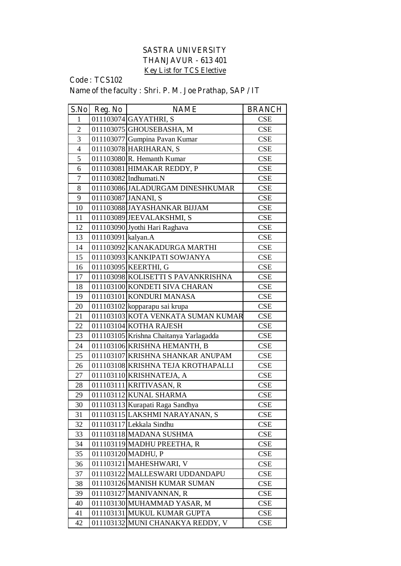## **SASTRA UNIVERSITY THANJAVUR - 613 401 Key List for TCS Elective**

## **Code : TCS102 Name of the faculty : Shri. P. M. Joe Prathap, SAP / IT**

| S.No           | Reg. No            | <b>NAME</b>                            | <b>BRANCH</b> |
|----------------|--------------------|----------------------------------------|---------------|
| $\mathbf{1}$   |                    | 011103074 GAYATHRI, S                  | <b>CSE</b>    |
| $\overline{2}$ |                    | 011103075 GHOUSEBASHA, M               | <b>CSE</b>    |
| $\overline{3}$ |                    | 011103077 Gumpina Pavan Kumar          | <b>CSE</b>    |
| $\overline{4}$ |                    | 011103078 HARIHARAN, S                 | <b>CSE</b>    |
| 5              |                    | 011103080 R. Hemanth Kumar             | <b>CSE</b>    |
| 6              |                    | 011103081 HIMAKAR REDDY, P             | <b>CSE</b>    |
| $\overline{7}$ |                    | 011103082 Indhumati.N                  | <b>CSE</b>    |
| 8              |                    | 011103086 JALADURGAM DINESHKUMAR       | <b>CSE</b>    |
| 9              |                    | 011103087 JANANI, S                    | CSE           |
| 10             |                    | 011103088 JAYASHANKAR BIJJAM           | <b>CSE</b>    |
| 11             |                    | 011103089 JEEVALAKSHMI, S              | <b>CSE</b>    |
| 12             |                    | 011103090 Jyothi Hari Raghava          | <b>CSE</b>    |
| 13             | 011103091 kalyan.A |                                        | <b>CSE</b>    |
| 14             |                    | 011103092 KANAKADURGA MARTHI           | <b>CSE</b>    |
| 15             |                    | 011103093 KANKIPATI SOWJANYA           | <b>CSE</b>    |
| 16             |                    | 011103095 KEERTHI, G                   | CSE           |
| 17             |                    | 011103098 KOLISETTI S PAVANKRISHNA     | <b>CSE</b>    |
| 18             |                    | 011103100 KONDETI SIVA CHARAN          | CSE           |
| 19             |                    | 011103101 KONDURI MANASA               | <b>CSE</b>    |
| 20             |                    | 011103102 kopparapu sai krupa          | <b>CSE</b>    |
| 21             |                    | 011103103 KOTA VENKATA SUMAN KUMAR     | <b>CSE</b>    |
| 22             |                    | 011103104 KOTHA RAJESH                 | <b>CSE</b>    |
| 23             |                    | 011103105 Krishna Chaitanya Yarlagadda | <b>CSE</b>    |
| 24             |                    | 011103106 KRISHNA HEMANTH, B           | <b>CSE</b>    |
| 25             |                    | 011103107 KRISHNA SHANKAR ANUPAM       | <b>CSE</b>    |
| 26             |                    | 011103108 KRISHNA TEJA KROTHAPALLI     | <b>CSE</b>    |
| 27             |                    | 011103110 KRISHNATEJA, A               | <b>CSE</b>    |
| 28             |                    | 011103111 KRITIVASAN, R                | <b>CSE</b>    |
| 29             |                    | 011103112 KUNAL SHARMA                 | <b>CSE</b>    |
| 30             |                    | 011103113 Kurapati Raga Sandhya        | <b>CSE</b>    |
| 31             |                    | 011103115 LAKSHMI NARAYANAN, S         | <b>CSE</b>    |
| 32             |                    | 011103117 Lekkala Sindhu               | <b>CSE</b>    |
| 33             |                    | 011103118 MADANA SUSHMA                | <b>CSE</b>    |
| 34             |                    | 011103119 MADHU PREETHA, R             | <b>CSE</b>    |
| 35             |                    | 011103120 MADHU, P                     | <b>CSE</b>    |
| 36             |                    | 011103121 MAHESHWARI, V                | <b>CSE</b>    |
| 37             |                    | 011103122 MALLESWARI UDDANDAPU         | <b>CSE</b>    |
| 38             |                    | 011103126 MANISH KUMAR SUMAN           | <b>CSE</b>    |
| 39             |                    | 011103127 MANIVANNAN, R                | CSE           |
| 40             |                    | 011103130 MUHAMMAD YASAR, M            | <b>CSE</b>    |
| 41             |                    | 011103131 MUKUL KUMAR GUPTA            | <b>CSE</b>    |
| 42             |                    | 011103132 MUNI CHANAKYA REDDY, V       | <b>CSE</b>    |